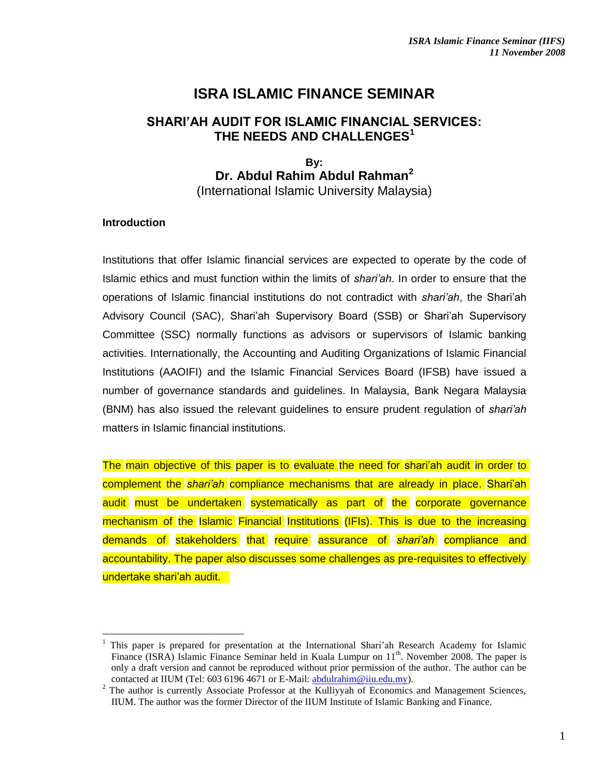# **ISRA ISLAMIC FINANCE SEMINAR**

## **SHARI'AH AUDIT FOR ISLAMIC FINANCIAL SERVICES: THE NEEDS AND CHALLENGES<sup>1</sup>**

## **By: Dr. Abdul Rahim Abdul Rahman<sup>2</sup>** (International Islamic University Malaysia)

#### **Introduction**

 $\overline{a}$ 

Institutions that offer Islamic financial services are expected to operate by the code of Islamic ethics and must function within the limits of *shari'ah*. In order to ensure that the operations of Islamic financial institutions do not contradict with *shari'ah*, the Shari'ah Advisory Council (SAC), Shari'ah Supervisory Board (SSB) or Shari'ah Supervisory Committee (SSC) normally functions as advisors or supervisors of Islamic banking activities. Internationally, the Accounting and Auditing Organizations of Islamic Financial Institutions (AAOIFI) and the Islamic Financial Services Board (IFSB) have issued a number of governance standards and guidelines. In Malaysia, Bank Negara Malaysia (BNM) has also issued the relevant guidelines to ensure prudent regulation of *shari'ah* matters in Islamic financial institutions.

The main objective of this paper is to evaluate the need for shari'ah audit in order to complement the *shari'ah* compliance mechanisms that are already in place. Shari'ah audit must be undertaken systematically as part of the corporate governance mechanism of the Islamic Financial Institutions (IFIs). This is due to the increasing demands of stakeholders that require assurance of *shari'ah* compliance and accountability. The paper also discusses some challenges as pre-requisites to effectively undertake shari'ah audit.

<sup>1</sup> This paper is prepared for presentation at the International Shari'ah Research Academy for Islamic Finance (ISRA) Islamic Finance Seminar held in Kuala Lumpur on  $11<sup>th</sup>$ . November 2008. The paper is only a draft version and cannot be reproduced without prior permission of the author. The author can be contacted at IIUM (Tel: 603 6196 4671 or E-Mail: [abdulrahim@iiu.edu.my\)](mailto:abdulrahim@iiu.edu.my).

<sup>&</sup>lt;sup>2</sup> The author is currently Associate Professor at the Kulliyyah of Economics and Management Sciences, IIUM. The author was the former Director of the IIUM Institute of Islamic Banking and Finance.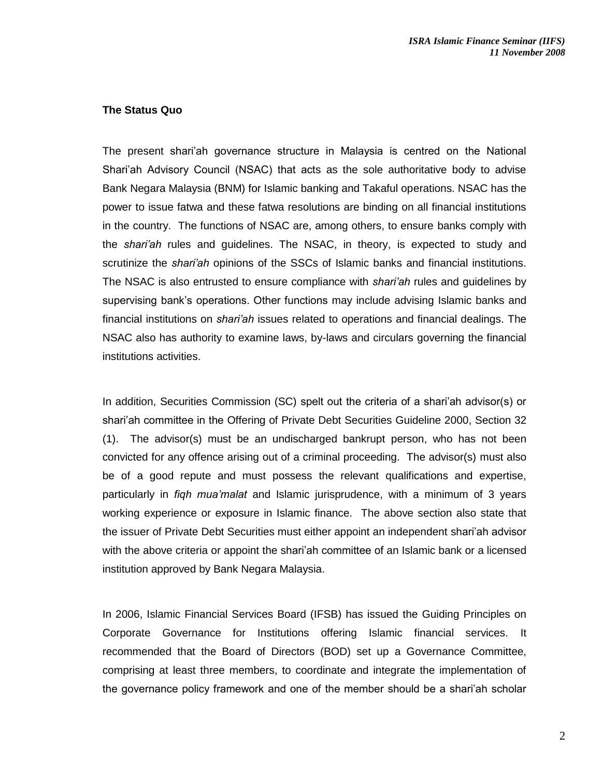#### **The Status Quo**

The present shari'ah governance structure in Malaysia is centred on the National Shari'ah Advisory Council (NSAC) that acts as the sole authoritative body to advise Bank Negara Malaysia (BNM) for Islamic banking and Takaful operations. NSAC has the power to issue fatwa and these fatwa resolutions are binding on all financial institutions in the country. The functions of NSAC are, among others, to ensure banks comply with the *shari'ah* rules and guidelines. The NSAC, in theory, is expected to study and scrutinize the *shari'ah* opinions of the SSCs of Islamic banks and financial institutions. The NSAC is also entrusted to ensure compliance with *shari'ah* rules and guidelines by supervising bank's operations. Other functions may include advising Islamic banks and financial institutions on *shari'ah* issues related to operations and financial dealings. The NSAC also has authority to examine laws, by-laws and circulars governing the financial institutions activities.

In addition, Securities Commission (SC) spelt out the criteria of a shari'ah advisor(s) or shari'ah committee in the Offering of Private Debt Securities Guideline 2000, Section 32 (1). The advisor(s) must be an undischarged bankrupt person, who has not been convicted for any offence arising out of a criminal proceeding. The advisor(s) must also be of a good repute and must possess the relevant qualifications and expertise, particularly in *fiqh mua'malat* and Islamic jurisprudence, with a minimum of 3 years working experience or exposure in Islamic finance. The above section also state that the issuer of Private Debt Securities must either appoint an independent shari'ah advisor with the above criteria or appoint the shari'ah committee of an Islamic bank or a licensed institution approved by Bank Negara Malaysia.

In 2006, Islamic Financial Services Board (IFSB) has issued the Guiding Principles on Corporate Governance for Institutions offering Islamic financial services. It recommended that the Board of Directors (BOD) set up a Governance Committee, comprising at least three members, to coordinate and integrate the implementation of the governance policy framework and one of the member should be a shari'ah scholar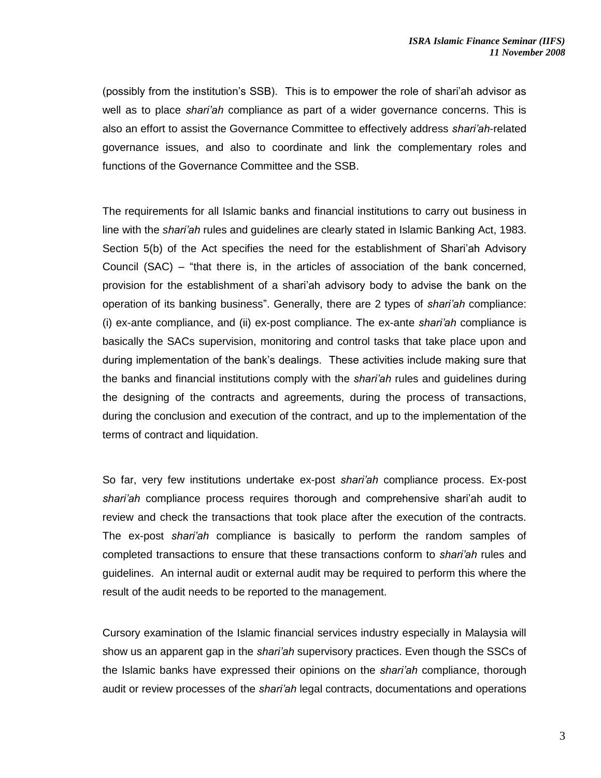(possibly from the institution's SSB). This is to empower the role of shari'ah advisor as well as to place *shari'ah* compliance as part of a wider governance concerns. This is also an effort to assist the Governance Committee to effectively address *shari'ah*-related governance issues, and also to coordinate and link the complementary roles and functions of the Governance Committee and the SSB.

The requirements for all Islamic banks and financial institutions to carry out business in line with the *shari'ah* rules and guidelines are clearly stated in Islamic Banking Act, 1983. Section 5(b) of the Act specifies the need for the establishment of Shari'ah Advisory Council (SAC) – "that there is, in the articles of association of the bank concerned, provision for the establishment of a shari'ah advisory body to advise the bank on the operation of its banking business". Generally, there are 2 types of *shari'ah* compliance: (i) ex-ante compliance, and (ii) ex-post compliance. The ex-ante *shari'ah* compliance is basically the SACs supervision, monitoring and control tasks that take place upon and during implementation of the bank's dealings. These activities include making sure that the banks and financial institutions comply with the *shari'ah* rules and guidelines during the designing of the contracts and agreements, during the process of transactions, during the conclusion and execution of the contract, and up to the implementation of the terms of contract and liquidation.

So far, very few institutions undertake ex-post *shari'ah* compliance process. Ex-post *shari'ah* compliance process requires thorough and comprehensive shari'ah audit to review and check the transactions that took place after the execution of the contracts. The ex-post *shari'ah* compliance is basically to perform the random samples of completed transactions to ensure that these transactions conform to *shari'ah* rules and guidelines. An internal audit or external audit may be required to perform this where the result of the audit needs to be reported to the management.

Cursory examination of the Islamic financial services industry especially in Malaysia will show us an apparent gap in the *shari'ah* supervisory practices. Even though the SSCs of the Islamic banks have expressed their opinions on the *shari'ah* compliance, thorough audit or review processes of the *shari'ah* legal contracts, documentations and operations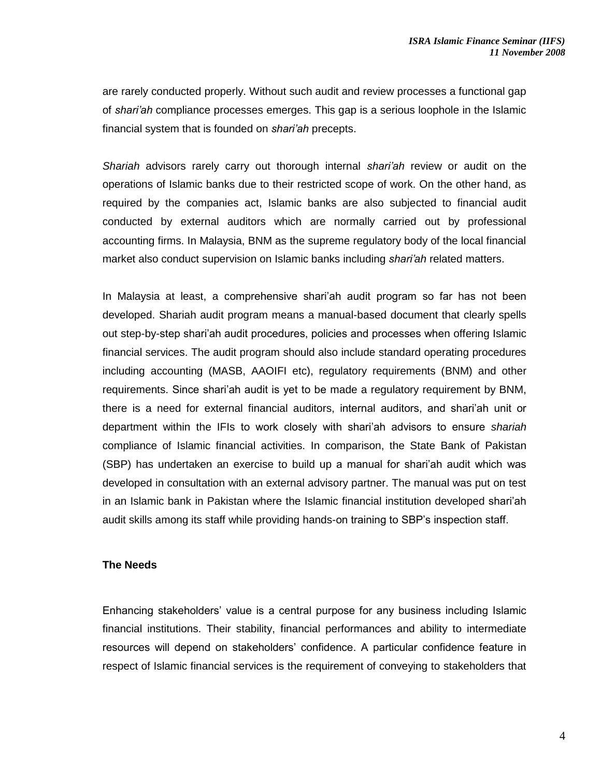are rarely conducted properly. Without such audit and review processes a functional gap of *shari'ah* compliance processes emerges. This gap is a serious loophole in the Islamic financial system that is founded on *shari'ah* precepts.

*Shariah* advisors rarely carry out thorough internal *shari'ah* review or audit on the operations of Islamic banks due to their restricted scope of work. On the other hand, as required by the companies act, Islamic banks are also subjected to financial audit conducted by external auditors which are normally carried out by professional accounting firms. In Malaysia, BNM as the supreme regulatory body of the local financial market also conduct supervision on Islamic banks including *shari'ah* related matters.

In Malaysia at least, a comprehensive shari'ah audit program so far has not been developed. Shariah audit program means a manual-based document that clearly spells out step-by-step shari'ah audit procedures, policies and processes when offering Islamic financial services. The audit program should also include standard operating procedures including accounting (MASB, AAOIFI etc), regulatory requirements (BNM) and other requirements. Since shari'ah audit is yet to be made a regulatory requirement by BNM, there is a need for external financial auditors, internal auditors, and shari'ah unit or department within the IFIs to work closely with shari'ah advisors to ensure *shariah* compliance of Islamic financial activities. In comparison, the State Bank of Pakistan (SBP) has undertaken an exercise to build up a manual for shari'ah audit which was developed in consultation with an external advisory partner. The manual was put on test in an Islamic bank in Pakistan where the Islamic financial institution developed shari'ah audit skills among its staff while providing hands-on training to SBP's inspection staff.

## **The Needs**

Enhancing stakeholders' value is a central purpose for any business including Islamic financial institutions. Their stability, financial performances and ability to intermediate resources will depend on stakeholders' confidence. A particular confidence feature in respect of Islamic financial services is the requirement of conveying to stakeholders that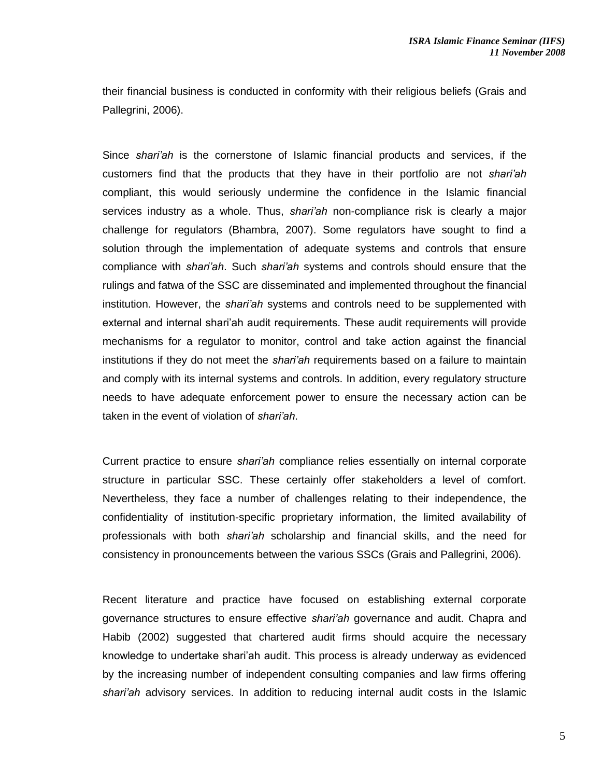their financial business is conducted in conformity with their religious beliefs (Grais and Pallegrini, 2006).

Since *shari'ah* is the cornerstone of Islamic financial products and services, if the customers find that the products that they have in their portfolio are not *shari'ah* compliant, this would seriously undermine the confidence in the Islamic financial services industry as a whole. Thus, *shari'ah* non-compliance risk is clearly a major challenge for regulators (Bhambra, 2007). Some regulators have sought to find a solution through the implementation of adequate systems and controls that ensure compliance with *shari'ah*. Such *shari'ah* systems and controls should ensure that the rulings and fatwa of the SSC are disseminated and implemented throughout the financial institution. However, the *shari'ah* systems and controls need to be supplemented with external and internal shari'ah audit requirements. These audit requirements will provide mechanisms for a regulator to monitor, control and take action against the financial institutions if they do not meet the *shari'ah* requirements based on a failure to maintain and comply with its internal systems and controls. In addition, every regulatory structure needs to have adequate enforcement power to ensure the necessary action can be taken in the event of violation of *shari'ah*.

Current practice to ensure *shari'ah* compliance relies essentially on internal corporate structure in particular SSC. These certainly offer stakeholders a level of comfort. Nevertheless, they face a number of challenges relating to their independence, the confidentiality of institution-specific proprietary information, the limited availability of professionals with both *shari'ah* scholarship and financial skills, and the need for consistency in pronouncements between the various SSCs (Grais and Pallegrini, 2006).

Recent literature and practice have focused on establishing external corporate governance structures to ensure effective *shari'ah* governance and audit. Chapra and Habib (2002) suggested that chartered audit firms should acquire the necessary knowledge to undertake shari'ah audit. This process is already underway as evidenced by the increasing number of independent consulting companies and law firms offering *shari'ah* advisory services. In addition to reducing internal audit costs in the Islamic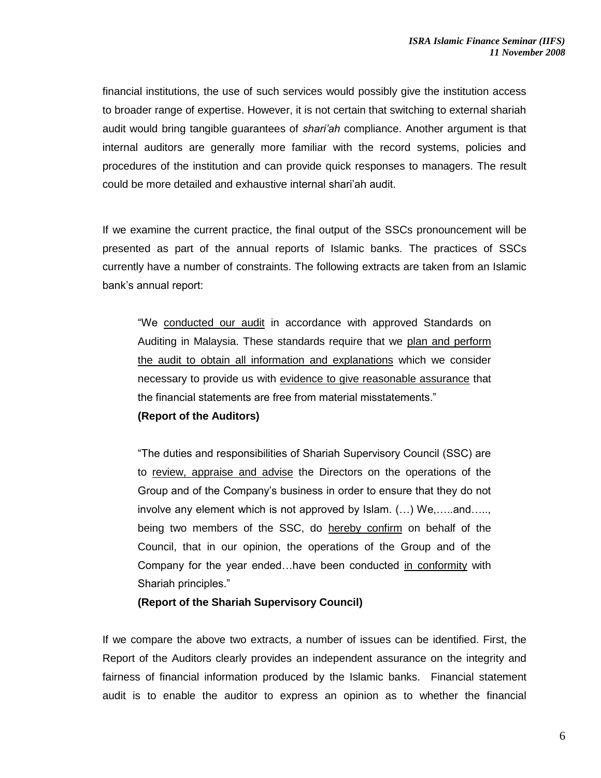financial institutions, the use of such services would possibly give the institution access to broader range of expertise. However, it is not certain that switching to external shariah audit would bring tangible guarantees of *shari'ah* compliance. Another argument is that internal auditors are generally more familiar with the record systems, policies and procedures of the institution and can provide quick responses to managers. The result could be more detailed and exhaustive internal shari'ah audit.

If we examine the current practice, the final output of the SSCs pronouncement will be presented as part of the annual reports of Islamic banks. The practices of SSCs currently have a number of constraints. The following extracts are taken from an Islamic bank's annual report:

"We conducted our audit in accordance with approved Standards on Auditing in Malaysia. These standards require that we plan and perform the audit to obtain all information and explanations which we consider necessary to provide us with evidence to give reasonable assurance that the financial statements are free from material misstatements."

## **(Report of the Auditors)**

"The duties and responsibilities of Shariah Supervisory Council (SSC) are to review, appraise and advise the Directors on the operations of the Group and of the Company's business in order to ensure that they do not involve any element which is not approved by Islam. (…) We,…..and….., being two members of the SSC, do hereby confirm on behalf of the Council, that in our opinion, the operations of the Group and of the Company for the year ended…have been conducted in conformity with Shariah principles."

#### **(Report of the Shariah Supervisory Council)**

If we compare the above two extracts, a number of issues can be identified. First, the Report of the Auditors clearly provides an independent assurance on the integrity and fairness of financial information produced by the Islamic banks. Financial statement audit is to enable the auditor to express an opinion as to whether the financial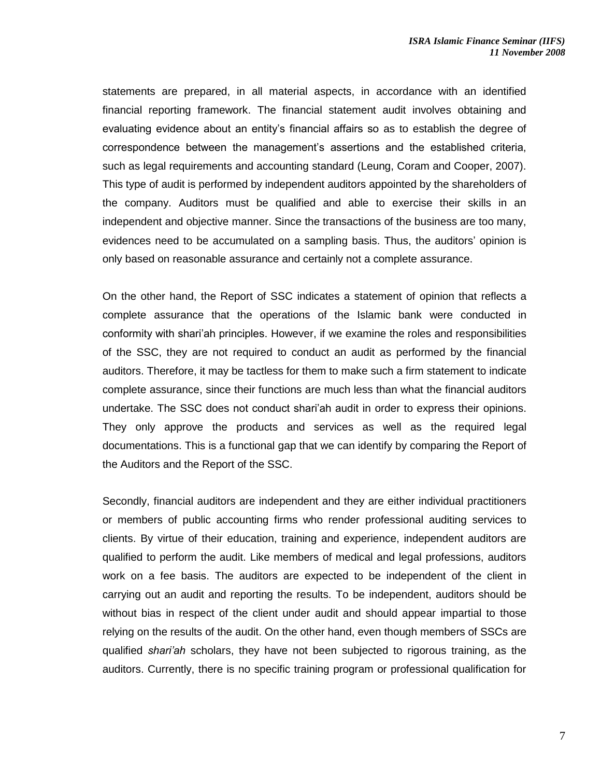statements are prepared, in all material aspects, in accordance with an identified financial reporting framework. The financial statement audit involves obtaining and evaluating evidence about an entity's financial affairs so as to establish the degree of correspondence between the management's assertions and the established criteria, such as legal requirements and accounting standard (Leung, Coram and Cooper, 2007). This type of audit is performed by independent auditors appointed by the shareholders of the company. Auditors must be qualified and able to exercise their skills in an independent and objective manner. Since the transactions of the business are too many, evidences need to be accumulated on a sampling basis. Thus, the auditors' opinion is only based on reasonable assurance and certainly not a complete assurance.

On the other hand, the Report of SSC indicates a statement of opinion that reflects a complete assurance that the operations of the Islamic bank were conducted in conformity with shari'ah principles. However, if we examine the roles and responsibilities of the SSC, they are not required to conduct an audit as performed by the financial auditors. Therefore, it may be tactless for them to make such a firm statement to indicate complete assurance, since their functions are much less than what the financial auditors undertake. The SSC does not conduct shari'ah audit in order to express their opinions. They only approve the products and services as well as the required legal documentations. This is a functional gap that we can identify by comparing the Report of the Auditors and the Report of the SSC.

Secondly, financial auditors are independent and they are either individual practitioners or members of public accounting firms who render professional auditing services to clients. By virtue of their education, training and experience, independent auditors are qualified to perform the audit. Like members of medical and legal professions, auditors work on a fee basis. The auditors are expected to be independent of the client in carrying out an audit and reporting the results. To be independent, auditors should be without bias in respect of the client under audit and should appear impartial to those relying on the results of the audit. On the other hand, even though members of SSCs are qualified *shari'ah* scholars, they have not been subjected to rigorous training, as the auditors. Currently, there is no specific training program or professional qualification for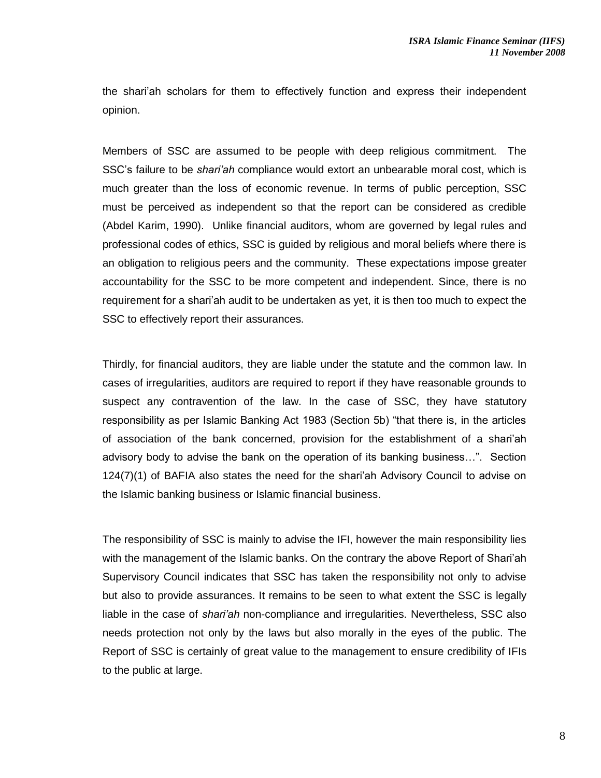the shari'ah scholars for them to effectively function and express their independent opinion.

Members of SSC are assumed to be people with deep religious commitment. The SSC's failure to be *shari'ah* compliance would extort an unbearable moral cost, which is much greater than the loss of economic revenue. In terms of public perception, SSC must be perceived as independent so that the report can be considered as credible (Abdel Karim, 1990). Unlike financial auditors, whom are governed by legal rules and professional codes of ethics, SSC is guided by religious and moral beliefs where there is an obligation to religious peers and the community. These expectations impose greater accountability for the SSC to be more competent and independent. Since, there is no requirement for a shari'ah audit to be undertaken as yet, it is then too much to expect the SSC to effectively report their assurances.

Thirdly, for financial auditors, they are liable under the statute and the common law. In cases of irregularities, auditors are required to report if they have reasonable grounds to suspect any contravention of the law. In the case of SSC, they have statutory responsibility as per Islamic Banking Act 1983 (Section 5b) "that there is, in the articles of association of the bank concerned, provision for the establishment of a shari'ah advisory body to advise the bank on the operation of its banking business…". Section 124(7)(1) of BAFIA also states the need for the shari'ah Advisory Council to advise on the Islamic banking business or Islamic financial business.

The responsibility of SSC is mainly to advise the IFI, however the main responsibility lies with the management of the Islamic banks. On the contrary the above Report of Shari'ah Supervisory Council indicates that SSC has taken the responsibility not only to advise but also to provide assurances. It remains to be seen to what extent the SSC is legally liable in the case of *shari'ah* non-compliance and irregularities. Nevertheless, SSC also needs protection not only by the laws but also morally in the eyes of the public. The Report of SSC is certainly of great value to the management to ensure credibility of IFIs to the public at large.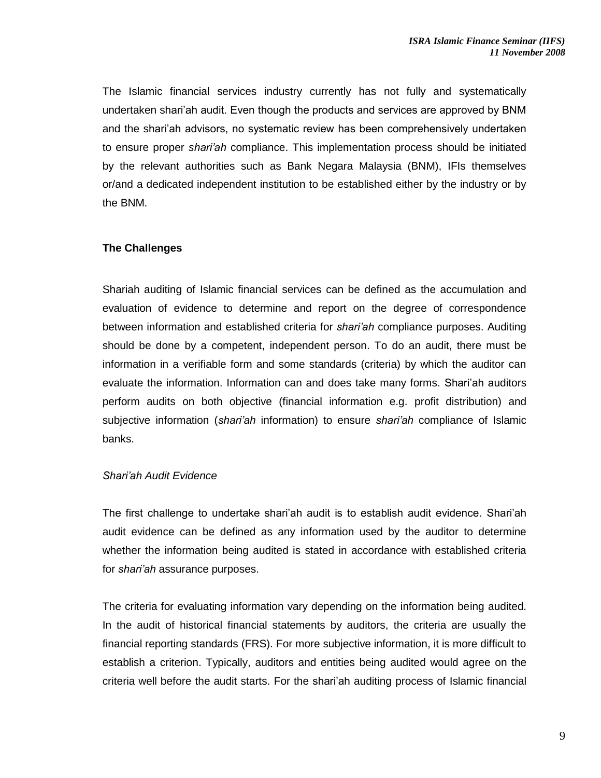The Islamic financial services industry currently has not fully and systematically undertaken shari'ah audit. Even though the products and services are approved by BNM and the shari'ah advisors, no systematic review has been comprehensively undertaken to ensure proper *shari'ah* compliance. This implementation process should be initiated by the relevant authorities such as Bank Negara Malaysia (BNM), IFIs themselves or/and a dedicated independent institution to be established either by the industry or by the BNM.

## **The Challenges**

Shariah auditing of Islamic financial services can be defined as the accumulation and evaluation of evidence to determine and report on the degree of correspondence between information and established criteria for *shari'ah* compliance purposes. Auditing should be done by a competent, independent person. To do an audit, there must be information in a verifiable form and some standards (criteria) by which the auditor can evaluate the information. Information can and does take many forms. Shari'ah auditors perform audits on both objective (financial information e.g. profit distribution) and subjective information (*shari'ah* information) to ensure *shari'ah* compliance of Islamic banks.

## *Shari'ah Audit Evidence*

The first challenge to undertake shari'ah audit is to establish audit evidence. Shari'ah audit evidence can be defined as any information used by the auditor to determine whether the information being audited is stated in accordance with established criteria for *shari'ah* assurance purposes.

The criteria for evaluating information vary depending on the information being audited. In the audit of historical financial statements by auditors, the criteria are usually the financial reporting standards (FRS). For more subjective information, it is more difficult to establish a criterion. Typically, auditors and entities being audited would agree on the criteria well before the audit starts. For the shari'ah auditing process of Islamic financial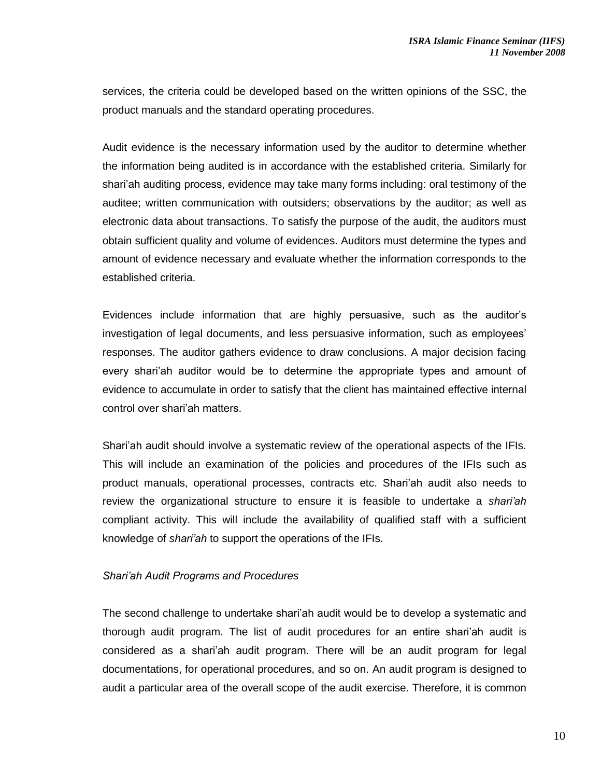services, the criteria could be developed based on the written opinions of the SSC, the product manuals and the standard operating procedures.

Audit evidence is the necessary information used by the auditor to determine whether the information being audited is in accordance with the established criteria. Similarly for shari'ah auditing process, evidence may take many forms including: oral testimony of the auditee; written communication with outsiders; observations by the auditor; as well as electronic data about transactions. To satisfy the purpose of the audit, the auditors must obtain sufficient quality and volume of evidences. Auditors must determine the types and amount of evidence necessary and evaluate whether the information corresponds to the established criteria.

Evidences include information that are highly persuasive, such as the auditor's investigation of legal documents, and less persuasive information, such as employees' responses. The auditor gathers evidence to draw conclusions. A major decision facing every shari'ah auditor would be to determine the appropriate types and amount of evidence to accumulate in order to satisfy that the client has maintained effective internal control over shari'ah matters.

Shari'ah audit should involve a systematic review of the operational aspects of the IFIs. This will include an examination of the policies and procedures of the IFIs such as product manuals, operational processes, contracts etc. Shari'ah audit also needs to review the organizational structure to ensure it is feasible to undertake a *shari'ah* compliant activity. This will include the availability of qualified staff with a sufficient knowledge of *shari'ah* to support the operations of the IFIs.

## *Shari'ah Audit Programs and Procedures*

The second challenge to undertake shari'ah audit would be to develop a systematic and thorough audit program. The list of audit procedures for an entire shari'ah audit is considered as a shari'ah audit program. There will be an audit program for legal documentations, for operational procedures, and so on. An audit program is designed to audit a particular area of the overall scope of the audit exercise. Therefore, it is common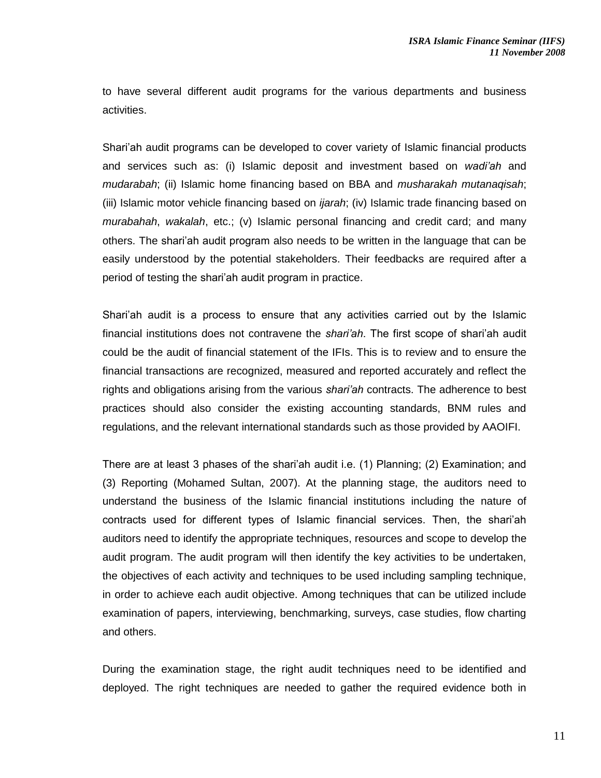to have several different audit programs for the various departments and business activities.

Shari'ah audit programs can be developed to cover variety of Islamic financial products and services such as: (i) Islamic deposit and investment based on *wadi'ah* and *mudarabah*; (ii) Islamic home financing based on BBA and *musharakah mutanaqisah*; (iii) Islamic motor vehicle financing based on *ijarah*; (iv) Islamic trade financing based on *murabahah*, *wakalah*, etc.; (v) Islamic personal financing and credit card; and many others. The shari'ah audit program also needs to be written in the language that can be easily understood by the potential stakeholders. Their feedbacks are required after a period of testing the shari'ah audit program in practice.

Shari'ah audit is a process to ensure that any activities carried out by the Islamic financial institutions does not contravene the *shari'ah*. The first scope of shari'ah audit could be the audit of financial statement of the IFIs. This is to review and to ensure the financial transactions are recognized, measured and reported accurately and reflect the rights and obligations arising from the various *shari'ah* contracts. The adherence to best practices should also consider the existing accounting standards, BNM rules and regulations, and the relevant international standards such as those provided by AAOIFI.

There are at least 3 phases of the shari'ah audit i.e. (1) Planning; (2) Examination; and (3) Reporting (Mohamed Sultan, 2007). At the planning stage, the auditors need to understand the business of the Islamic financial institutions including the nature of contracts used for different types of Islamic financial services. Then, the shari'ah auditors need to identify the appropriate techniques, resources and scope to develop the audit program. The audit program will then identify the key activities to be undertaken, the objectives of each activity and techniques to be used including sampling technique, in order to achieve each audit objective. Among techniques that can be utilized include examination of papers, interviewing, benchmarking, surveys, case studies, flow charting and others.

During the examination stage, the right audit techniques need to be identified and deployed. The right techniques are needed to gather the required evidence both in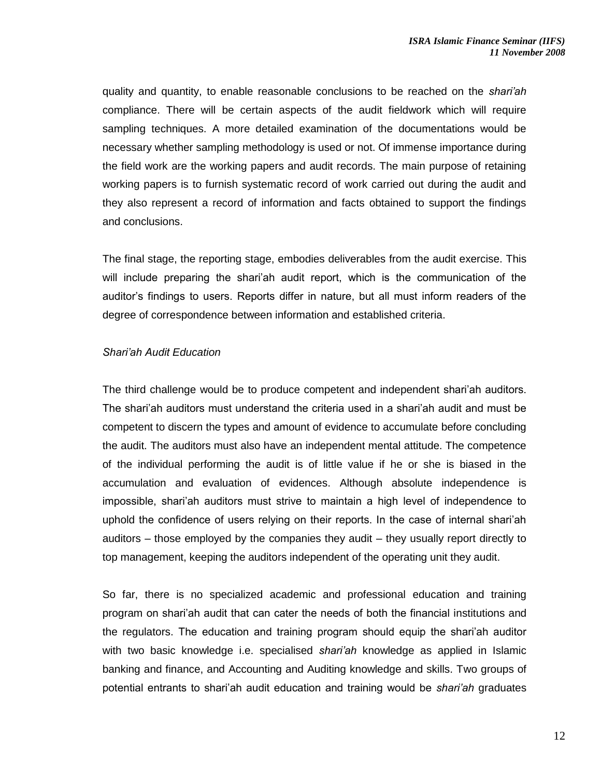quality and quantity, to enable reasonable conclusions to be reached on the *shari'ah* compliance. There will be certain aspects of the audit fieldwork which will require sampling techniques. A more detailed examination of the documentations would be necessary whether sampling methodology is used or not. Of immense importance during the field work are the working papers and audit records. The main purpose of retaining working papers is to furnish systematic record of work carried out during the audit and they also represent a record of information and facts obtained to support the findings and conclusions.

The final stage, the reporting stage, embodies deliverables from the audit exercise. This will include preparing the shari'ah audit report, which is the communication of the auditor's findings to users. Reports differ in nature, but all must inform readers of the degree of correspondence between information and established criteria.

#### *Shari'ah Audit Education*

The third challenge would be to produce competent and independent shari'ah auditors. The shari'ah auditors must understand the criteria used in a shari'ah audit and must be competent to discern the types and amount of evidence to accumulate before concluding the audit. The auditors must also have an independent mental attitude. The competence of the individual performing the audit is of little value if he or she is biased in the accumulation and evaluation of evidences. Although absolute independence is impossible, shari'ah auditors must strive to maintain a high level of independence to uphold the confidence of users relying on their reports. In the case of internal shari'ah auditors – those employed by the companies they audit – they usually report directly to top management, keeping the auditors independent of the operating unit they audit.

So far, there is no specialized academic and professional education and training program on shari'ah audit that can cater the needs of both the financial institutions and the regulators. The education and training program should equip the shari'ah auditor with two basic knowledge i.e. specialised *shari'ah* knowledge as applied in Islamic banking and finance, and Accounting and Auditing knowledge and skills. Two groups of potential entrants to shari'ah audit education and training would be *shari'ah* graduates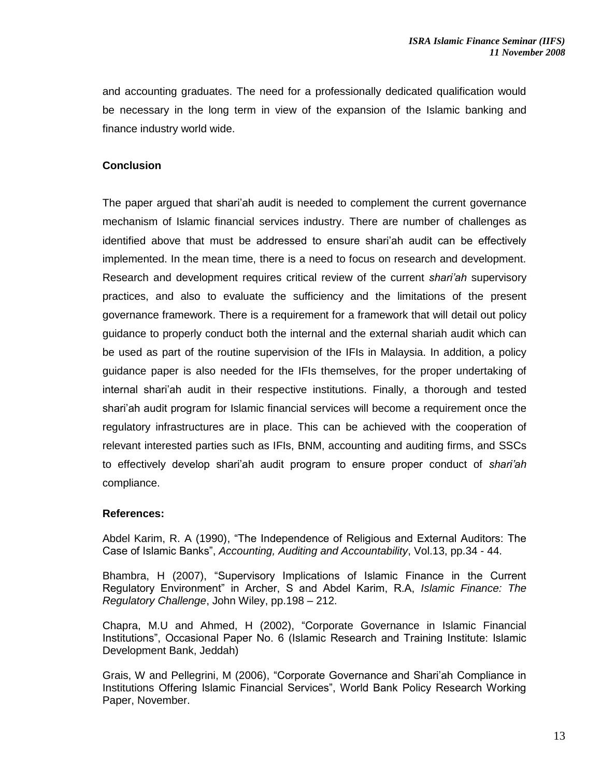and accounting graduates. The need for a professionally dedicated qualification would be necessary in the long term in view of the expansion of the Islamic banking and finance industry world wide.

## **Conclusion**

The paper argued that shari'ah audit is needed to complement the current governance mechanism of Islamic financial services industry. There are number of challenges as identified above that must be addressed to ensure shari'ah audit can be effectively implemented. In the mean time, there is a need to focus on research and development. Research and development requires critical review of the current *shari'ah* supervisory practices, and also to evaluate the sufficiency and the limitations of the present governance framework. There is a requirement for a framework that will detail out policy guidance to properly conduct both the internal and the external shariah audit which can be used as part of the routine supervision of the IFIs in Malaysia. In addition, a policy guidance paper is also needed for the IFIs themselves, for the proper undertaking of internal shari'ah audit in their respective institutions. Finally, a thorough and tested shari'ah audit program for Islamic financial services will become a requirement once the regulatory infrastructures are in place. This can be achieved with the cooperation of relevant interested parties such as IFIs, BNM, accounting and auditing firms, and SSCs to effectively develop shari'ah audit program to ensure proper conduct of *shari'ah* compliance.

## **References:**

Abdel Karim, R. A (1990), "The Independence of Religious and External Auditors: The Case of Islamic Banks", *Accounting, Auditing and Accountability*, Vol.13, pp.34 - 44.

Bhambra, H (2007), "Supervisory Implications of Islamic Finance in the Current Regulatory Environment" in Archer, S and Abdel Karim, R.A, *Islamic Finance: The Regulatory Challenge*, John Wiley, pp.198 – 212.

Chapra, M.U and Ahmed, H (2002), "Corporate Governance in Islamic Financial Institutions", Occasional Paper No. 6 (Islamic Research and Training Institute: Islamic Development Bank, Jeddah)

Grais, W and Pellegrini, M (2006), "Corporate Governance and Shari'ah Compliance in Institutions Offering Islamic Financial Services", World Bank Policy Research Working Paper, November.